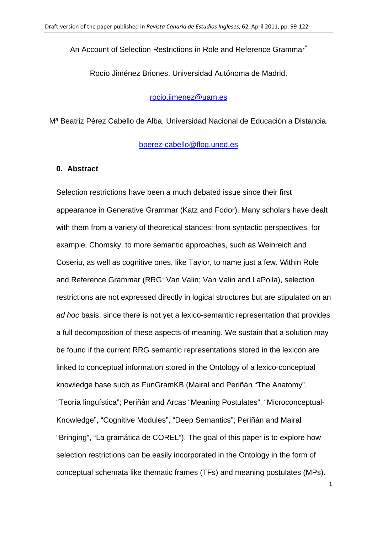An Account of Selection Restrictions in Role and Reference Grammar<sup>[\\*](#page-32-0)</sup>

Rocío Jiménez Briones. Universidad Autónoma de Madrid.

[rocio.jimenez@uam.es](mailto:rocio.jimenez@uam.es)

Mª Beatriz Pérez Cabello de Alba. Universidad Nacional de Educación a Distancia.

[bperez-cabello@flog.uned.es](mailto:bperez-cabello@flog.uned.es)

#### **0. Abstract**

Selection restrictions have been a much debated issue since their first appearance in Generative Grammar (Katz and Fodor). Many scholars have dealt with them from a variety of theoretical stances: from syntactic perspectives, for example, Chomsky, to more semantic approaches, such as Weinreich and Coseriu, as well as cognitive ones, like Taylor, to name just a few. Within Role and Reference Grammar (RRG; Van Valin; Van Valin and LaPolla), selection restrictions are not expressed directly in logical structures but are stipulated on an *ad hoc* basis, since there is not yet a lexico-semantic representation that provides a full decomposition of these aspects of meaning. We sustain that a solution may be found if the current RRG semantic representations stored in the lexicon are linked to conceptual information stored in the Ontology of a lexico-conceptual knowledge base such as FunGramKB (Mairal and Periñán "The Anatomy", "Teoría linguística"; Periñán and Arcas "Meaning Postulates", "Microconceptual-Knowledge", "Cognitive Modules", "Deep Semantics"; Periñán and Mairal "Bringing", "La gramática de COREL"). The goal of this paper is to explore how selection restrictions can be easily incorporated in the Ontology in the form of conceptual schemata like thematic frames (TFs) and meaning postulates (MPs).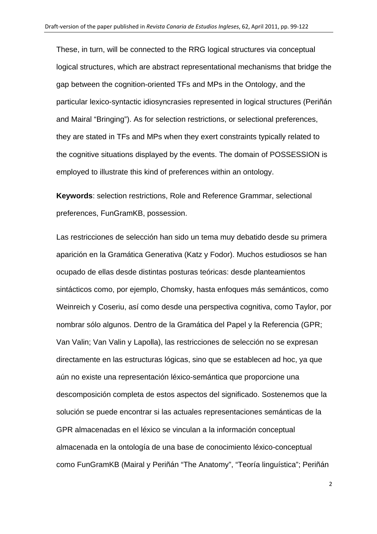These, in turn, will be connected to the RRG logical structures via conceptual logical structures, which are abstract representational mechanisms that bridge the gap between the cognition-oriented TFs and MPs in the Ontology, and the particular lexico-syntactic idiosyncrasies represented in logical structures (Periñán and Mairal "Bringing"). As for selection restrictions, or selectional preferences, they are stated in TFs and MPs when they exert constraints typically related to the cognitive situations displayed by the events. The domain of POSSESSION is employed to illustrate this kind of preferences within an ontology.

**Keywords**: selection restrictions, Role and Reference Grammar, selectional preferences, FunGramKB, possession.

Las restricciones de selección han sido un tema muy debatido desde su primera aparición en la Gramática Generativa (Katz y Fodor). Muchos estudiosos se han ocupado de ellas desde distintas posturas teóricas: desde planteamientos sintácticos como, por ejemplo, Chomsky, hasta enfoques más semánticos, como Weinreich y Coseriu, así como desde una perspectiva cognitiva, como Taylor, por nombrar sólo algunos. Dentro de la Gramática del Papel y la Referencia (GPR; Van Valin; Van Valin y Lapolla), las restricciones de selección no se expresan directamente en las estructuras lógicas, sino que se establecen ad hoc, ya que aún no existe una representación léxico-semántica que proporcione una descomposición completa de estos aspectos del significado. Sostenemos que la solución se puede encontrar si las actuales representaciones semánticas de la GPR almacenadas en el léxico se vinculan a la información conceptual almacenada en la ontología de una base de conocimiento léxico-conceptual como FunGramKB (Mairal y Periñán "The Anatomy", "Teoría linguística"; Periñán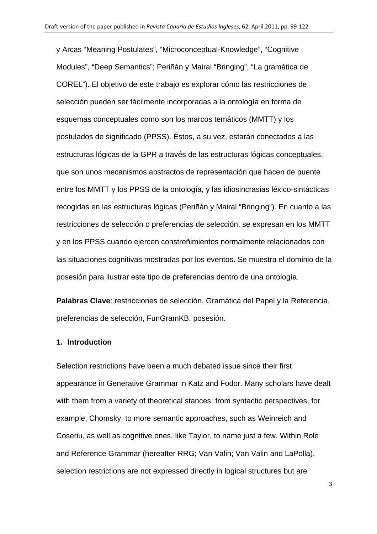y Arcas "Meaning Postulates", "Microconceptual-Knowledge", "Cognitive Modules", "Deep Semantics"; Periñán y Mairal "Bringing", "La gramática de COREL"). El objetivo de este trabajo es explorar cómo las restricciones de selección pueden ser fácilmente incorporadas a la ontología en forma de esquemas conceptuales como son los marcos temáticos (MMTT) y los postulados de significado (PPSS). Éstos, a su vez, estarán conectados a las estructuras lógicas de la GPR a través de las estructuras lógicas conceptuales, que son unos mecanismos abstractos de representación que hacen de puente entre los MMTT y los PPSS de la ontología, y las idiosincrasias léxico-sintácticas recogidas en las estructuras lógicas (Periñán y Mairal "Bringing"). En cuanto a las restricciones de selección o preferencias de selección, se expresan en los MMTT y en los PPSS cuando ejercen constreñimientos normalmente relacionados con las situaciones cognitivas mostradas por los eventos. Se muestra el dominio de la posesión para ilustrar este tipo de preferencias dentro de una ontología.

**Palabras Clave**: restricciones de selección, Gramática del Papel y la Referencia, preferencias de selección, FunGramKB, posesión.

#### **1. Introduction**

Selection restrictions have been a much debated issue since their first appearance in Generative Grammar in Katz and Fodor. Many scholars have dealt with them from a variety of theoretical stances: from syntactic perspectives, for example, Chomsky, to more semantic approaches, such as Weinreich and Coseriu, as well as cognitive ones, like Taylor, to name just a few. Within Role and Reference Grammar (hereafter RRG; Van Valin; Van Valin and LaPolla), selection restrictions are not expressed directly in logical structures but are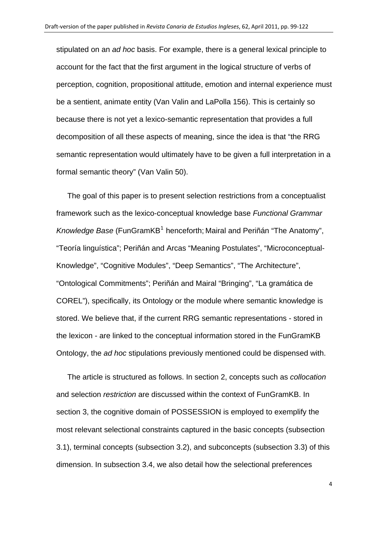stipulated on an *ad hoc* basis. For example, there is a general lexical principle to account for the fact that the first argument in the logical structure of verbs of perception, cognition, propositional attitude, emotion and internal experience must be a sentient, animate entity (Van Valin and LaPolla 156). This is certainly so because there is not yet a lexico-semantic representation that provides a full decomposition of all these aspects of meaning, since the idea is that "the RRG semantic representation would ultimately have to be given a full interpretation in a formal semantic theory" (Van Valin 50).

The goal of this paper is to present selection restrictions from a conceptualist framework such as the lexico-conceptual knowledge base *Functional Grammar*  Knowledge Base (FunGramKB<sup>[1](#page-32-1)</sup> henceforth; Mairal and Periñán "The Anatomy", "Teoría linguística"; Periñán and Arcas "Meaning Postulates", "Microconceptual-Knowledge", "Cognitive Modules", "Deep Semantics", "The Architecture", "Ontological Commitments"; Periñán and Mairal "Bringing", "La gramática de COREL"), specifically, its Ontology or the module where semantic knowledge is stored. We believe that, if the current RRG semantic representations - stored in the lexicon - are linked to the conceptual information stored in the FunGramKB Ontology, the *ad hoc* stipulations previously mentioned could be dispensed with.

The article is structured as follows. In section 2, concepts such as *collocation* and selection *restriction* are discussed within the context of FunGramKB. In section 3, the cognitive domain of POSSESSION is employed to exemplify the most relevant selectional constraints captured in the basic concepts (subsection 3.1), terminal concepts (subsection 3.2), and subconcepts (subsection 3.3) of this dimension. In subsection 3.4, we also detail how the selectional preferences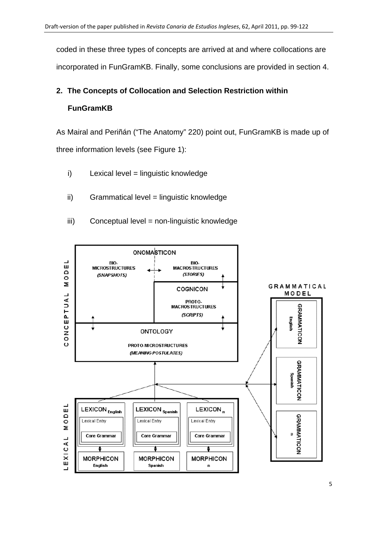coded in these three types of concepts are arrived at and where collocations are incorporated in FunGramKB. Finally, some conclusions are provided in section 4.

# **2. The Concepts of Collocation and Selection Restriction within FunGramKB**

As Mairal and Periñán ("The Anatomy" 220) point out, FunGramKB is made up of three information levels (see Figure 1):

- i) Lexical level = linguistic knowledge
- ii) Grammatical level = linguistic knowledge
- iii) Conceptual level = non-linguistic knowledge

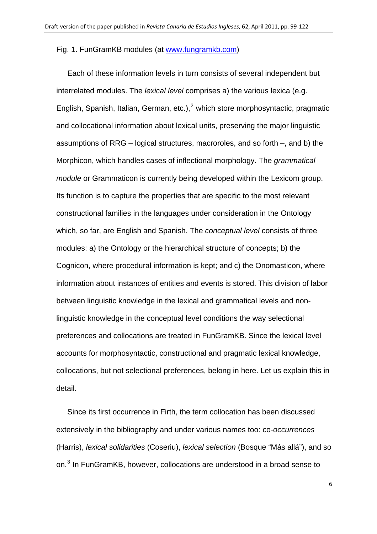#### Fig. 1. FunGramKB modules (at [www.fungramkb.com\)](http://www.fungramkb.com/)

Each of these information levels in turn consists of several independent but interrelated modules. The *lexical level* comprises a) the various lexica (e.g. English, Spanish, Italian, German, etc.),<sup>[2](#page-32-1)</sup> which store morphosyntactic, pragmatic and collocational information about lexical units, preserving the major linguistic assumptions of RRG – logical structures, macroroles, and so forth –, and b) the Morphicon, which handles cases of inflectional morphology. The *grammatical module* or Grammaticon is currently being developed within the Lexicom group. Its function is to capture the properties that are specific to the most relevant constructional families in the languages under consideration in the Ontology which, so far, are English and Spanish. The *conceptual level* consists of three modules: a) the Ontology or the hierarchical structure of concepts; b) the Cognicon, where procedural information is kept; and c) the Onomasticon, where information about instances of entities and events is stored. This division of labor between linguistic knowledge in the lexical and grammatical levels and nonlinguistic knowledge in the conceptual level conditions the way selectional preferences and collocations are treated in FunGramKB. Since the lexical level accounts for morphosyntactic, constructional and pragmatic lexical knowledge, collocations, but not selectional preferences, belong in here. Let us explain this in detail.

Since its first occurrence in Firth, the term collocation has been discussed extensively in the bibliography and under various names too: co-*occurrences* (Harris), *lexical solidarities* (Coseriu), *lexical selection* (Bosque "Más allá"), and so on.<sup>[3](#page-32-1)</sup> In FunGramKB, however, collocations are understood in a broad sense to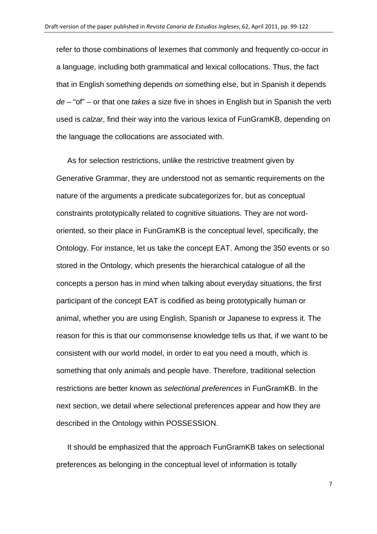refer to those combinations of lexemes that commonly and frequently co-occur in a language, including both grammatical and lexical collocations. Thus, the fact that in English something depends *on* something else, but in Spanish it depends *de* – "of" – or that one *takes* a size five in shoes in English but in Spanish the verb used is *calzar*, find their way into the various lexica of FunGramKB, depending on the language the collocations are associated with.

As for selection restrictions, unlike the restrictive treatment given by Generative Grammar, they are understood not as semantic requirements on the nature of the arguments a predicate subcategorizes for, but as conceptual constraints prototypically related to cognitive situations. They are not wordoriented, so their place in FunGramKB is the conceptual level, specifically, the Ontology. For instance, let us take the concept EAT. Among the 350 events or so stored in the Ontology, which presents the hierarchical catalogue of all the concepts a person has in mind when talking about everyday situations, the first participant of the concept EAT is codified as being prototypically human or animal, whether you are using English, Spanish or Japanese to express it. The reason for this is that our commonsense knowledge tells us that, if we want to be consistent with our world model, in order to eat you need a mouth, which is something that only animals and people have. Therefore, traditional selection restrictions are better known as *selectional preferences* in FunGramKB. In the next section, we detail where selectional preferences appear and how they are described in the Ontology within POSSESSION.

It should be emphasized that the approach FunGramKB takes on selectional preferences as belonging in the conceptual level of information is totally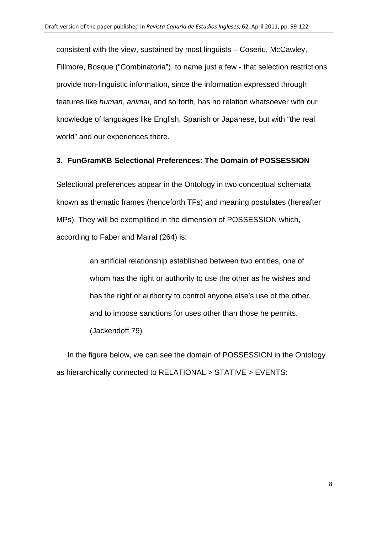consistent with the view, sustained by most linguists – Coseriu, McCawley, Fillmore, Bosque ("Combinatoria"), to name just a few - that selection restrictions provide non-linguistic information, since the information expressed through features like *human*, *animal*, and so forth, has no relation whatsoever with our knowledge of languages like English, Spanish or Japanese, but with "the real world" and our experiences there.

# **3. FunGramKB Selectional Preferences: The Domain of POSSESSION**

Selectional preferences appear in the Ontology in two conceptual schemata known as thematic frames (henceforth TFs) and meaning postulates (hereafter MPs). They will be exemplified in the dimension of POSSESSION which, according to Faber and Mairal (264) is:

> an artificial relationship established between two entities, one of whom has the right or authority to use the other as he wishes and has the right or authority to control anyone else's use of the other, and to impose sanctions for uses other than those he permits. (Jackendoff 79)

In the figure below, we can see the domain of POSSESSION in the Ontology as hierarchically connected to RELATIONAL > STATIVE > EVENTS: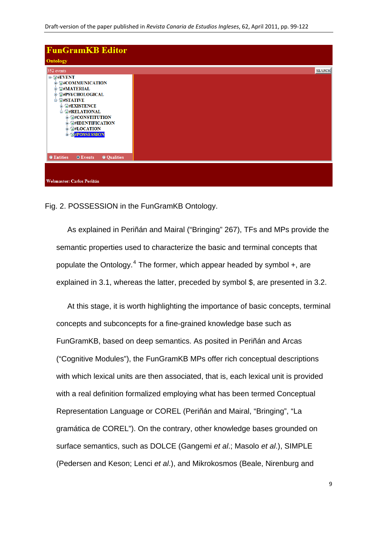

Fig. 2. POSSESSION in the FunGramKB Ontology.

As explained in Periñán and Mairal ("Bringing" 267), TFs and MPs provide the semantic properties used to characterize the basic and terminal concepts that populate the Ontology.<sup>[4](#page-32-1)</sup> The former, which appear headed by symbol +, are explained in 3.1, whereas the latter, preceded by symbol \$, are presented in 3.2.

At this stage, it is worth highlighting the importance of basic concepts, terminal concepts and subconcepts for a fine-grained knowledge base such as FunGramKB, based on deep semantics. As posited in Periñán and Arcas ("Cognitive Modules"), the FunGramKB MPs offer rich conceptual descriptions with which lexical units are then associated, that is, each lexical unit is provided with a real definition formalized employing what has been termed Conceptual Representation Language or COREL (Periñán and Mairal, "Bringing", "La gramática de COREL"). On the contrary, other knowledge bases grounded on surface semantics, such as DOLCE (Gangemi *et al*.; Masolo *et al*.), SIMPLE (Pedersen and Keson; Lenci *et al*.), and Mikrokosmos (Beale, Nirenburg and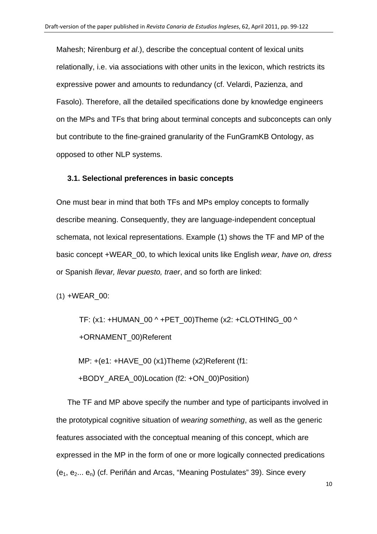Mahesh; Nirenburg *et al*.), describe the conceptual content of lexical units relationally, i.e. via associations with other units in the lexicon, which restricts its expressive power and amounts to redundancy (cf. Velardi, Pazienza, and Fasolo). Therefore, all the detailed specifications done by knowledge engineers on the MPs and TFs that bring about terminal concepts and subconcepts can only but contribute to the fine-grained granularity of the FunGramKB Ontology, as opposed to other NLP systems.

## **3.1. Selectional preferences in basic concepts**

One must bear in mind that both TFs and MPs employ concepts to formally describe meaning. Consequently, they are language-independent conceptual schemata, not lexical representations. Example (1) shows the TF and MP of the basic concept +WEAR\_00, to which lexical units like English *wear, have on, dress* or Spanish *llevar, llevar puesto, traer*, and so forth are linked:

(1) +WEAR\_00:

TF:  $(x1: +HUMAN$  00 ^ +PET 00)Theme  $(x2: +CLOTHING$  00 ^ +ORNAMENT\_00)Referent

MP: +(e1: +HAVE\_00 (x1)Theme (x2)Referent (f1:

+BODY\_AREA\_00)Location (f2: +ON\_00)Position)

The TF and MP above specify the number and type of participants involved in the prototypical cognitive situation of *wearing something*, as well as the generic features associated with the conceptual meaning of this concept, which are expressed in the MP in the form of one or more logically connected predications  $(e_1, e_2... e_n)$  (cf. Periñán and Arcas, "Meaning Postulates" 39). Since every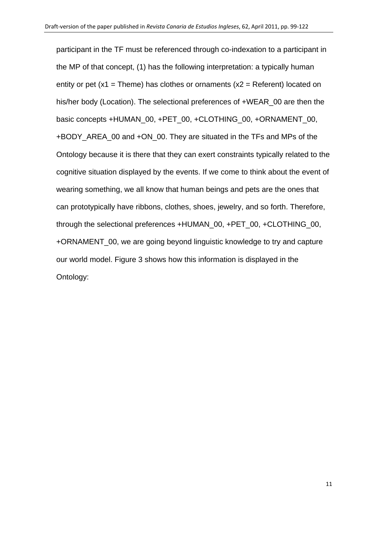participant in the TF must be referenced through co-indexation to a participant in the MP of that concept, (1) has the following interpretation: a typically human entity or pet  $(x1 =$ Theme) has clothes or ornaments  $(x2 =$ Referent) located on his/her body (Location). The selectional preferences of +WEAR\_00 are then the basic concepts +HUMAN\_00, +PET\_00, +CLOTHING\_00, +ORNAMENT\_00, +BODY\_AREA\_00 and +ON\_00. They are situated in the TFs and MPs of the Ontology because it is there that they can exert constraints typically related to the cognitive situation displayed by the events. If we come to think about the event of wearing something, we all know that human beings and pets are the ones that can prototypically have ribbons, clothes, shoes, jewelry, and so forth. Therefore, through the selectional preferences +HUMAN\_00, +PET\_00, +CLOTHING\_00, +ORNAMENT\_00, we are going beyond linguistic knowledge to try and capture our world model. Figure 3 shows how this information is displayed in the Ontology: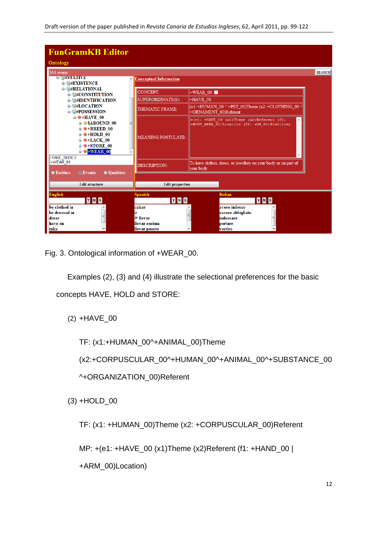| <b>FunGramKB Editor</b><br>Ontology                                                                                                                                                                      |                                                                                |                                                                                                  |               |
|----------------------------------------------------------------------------------------------------------------------------------------------------------------------------------------------------------|--------------------------------------------------------------------------------|--------------------------------------------------------------------------------------------------|---------------|
| 364 events<br>$E$ $\overline{\sigma}$ $#$ $S$ $I$ $A$ $I$ $I$ $V$ $B$<br><b>E G#EXISTENCE</b>                                                                                                            | <b>Conceptual Information:</b>                                                 |                                                                                                  | <b>SEARCH</b> |
| <b>G#RELATIONAL</b><br><b>由 同#CONSTITUTION</b>                                                                                                                                                           | <b>CONCEPT:</b>                                                                | $\parallel$ +WEAR 00                                                                             |               |
| <b>E- WHIDENTIFICATION</b>                                                                                                                                                                               | SUPERORDINATE(S):                                                              | +HAVE 00                                                                                         |               |
| <b>自 同#LOCATION</b><br>自 同#POSSESSION                                                                                                                                                                    | THEMATIC FRAME:                                                                | $\vert$ (x1: +HUMAN 00 ^ +PET 00)Theme (x2: +CLOTHING 00 ^<br>+ORNAMENT 00)Referent              |               |
| $\dot{=}$ $\Theta$ +HAVE 00<br><b>E-OSABOUND 00</b><br>$\theta$ +BREED 00<br>$\mathbf{B}$ +HOLD 00<br>$\mathbf{B}$ +LACK 00<br>$\div$ $\div$ STORE 00<br>$\blacksquare$ $\Theta$ +WEAR 00<br>-TAKE SHOES | MEANING POSTULATE:                                                             | $+(e1:$ +HAVE 00 (x1) Theme (x2) Referent (f1:<br>+BODY AREA 00) Location (f2: +ON 00) Position) |               |
| +WEAR 00                                                                                                                                                                                                 | <b>DESCRIPTION:</b>                                                            | To have clothes, shoes, or jewellery on your body or on part of<br>  your body                   |               |
| <b>Oualities</b><br><b>C</b> Entities<br><b>O</b> Events<br><b>Edit structure</b>                                                                                                                        | <b>Edit properties</b>                                                         |                                                                                                  |               |
| <b>English</b><br><b>YNX</b>                                                                                                                                                                             | <b>Spanish</b><br>YNX                                                          | <b>Italian</b><br>Y N X                                                                          |               |
| be clothed in<br>be dressed in<br>≣<br>dress<br>have on<br>take                                                                                                                                          | calzar<br>ir<br>$\blacktriangleright$ llevar<br>llevar encima<br>llevar puesto | avere indosso<br>essere abbigliato<br>E<br>틔<br>indossare<br>portare<br>vestire                  |               |

Fig. 3. Ontological information of +WEAR\_00.

Examples (2), (3) and (4) illustrate the selectional preferences for the basic

concepts HAVE, HOLD and STORE:

(2) +HAVE\_00

TF: (x1:+HUMAN\_00^+ANIMAL\_00)Theme

(x2:+CORPUSCULAR\_00^+HUMAN\_00^+ANIMAL\_00^+SUBSTANCE\_00

^+ORGANIZATION\_00)Referent

(3) +HOLD\_00

TF: (x1: +HUMAN\_00)Theme (x2: +CORPUSCULAR\_00)Referent

MP: +(e1: +HAVE\_00 (x1)Theme (x2)Referent (f1: +HAND\_00 |

+ARM\_00)Location)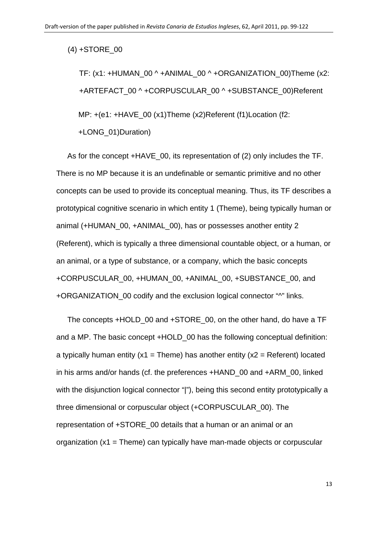$(4) +$ STORE 00

TF: (x1: +HUMAN\_00 ^ +ANIMAL\_00 ^ +ORGANIZATION\_00)Theme (x2: +ARTEFACT\_00 ^ +CORPUSCULAR\_00 ^ +SUBSTANCE\_00)Referent MP: +(e1: +HAVE\_00 (x1)Theme (x2)Referent (f1)Location (f2: +LONG\_01)Duration)

As for the concept +HAVE\_00, its representation of (2) only includes the TF. There is no MP because it is an undefinable or semantic primitive and no other concepts can be used to provide its conceptual meaning. Thus, its TF describes a prototypical cognitive scenario in which entity 1 (Theme), being typically human or animal (+HUMAN\_00, +ANIMAL\_00), has or possesses another entity 2 (Referent), which is typically a three dimensional countable object, or a human, or an animal, or a type of substance, or a company, which the basic concepts +CORPUSCULAR\_00, +HUMAN\_00, +ANIMAL\_00, +SUBSTANCE\_00, and +ORGANIZATION 00 codify and the exclusion logical connector "^" links.

The concepts +HOLD\_00 and +STORE\_00, on the other hand, do have a TF and a MP. The basic concept +HOLD 00 has the following conceptual definition: a typically human entity ( $x1$  = Theme) has another entity ( $x2$  = Referent) located in his arms and/or hands (cf. the preferences +HAND\_00 and +ARM\_00, linked with the disjunction logical connector "|"), being this second entity prototypically a three dimensional or corpuscular object (+CORPUSCULAR\_00). The representation of +STORE\_00 details that a human or an animal or an organization  $(x1 =$ Theme) can typically have man-made objects or corpuscular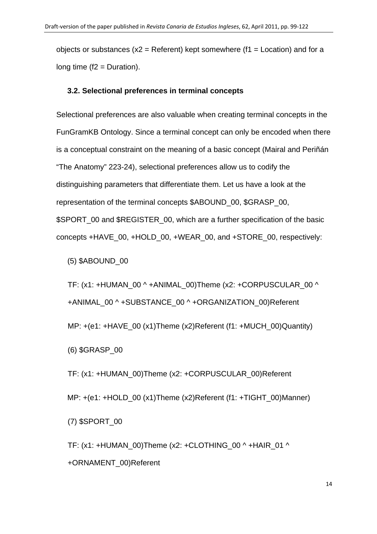objects or substances ( $x2$  = Referent) kept somewhere ( $f1$  = Location) and for a long time  $(f2 = Duration)$ .

# **3.2. Selectional preferences in terminal concepts**

Selectional preferences are also valuable when creating terminal concepts in the FunGramKB Ontology. Since a terminal concept can only be encoded when there is a conceptual constraint on the meaning of a basic concept (Mairal and Periñán "The Anatomy" 223-24), selectional preferences allow us to codify the distinguishing parameters that differentiate them. Let us have a look at the representation of the terminal concepts \$ABOUND\_00, \$GRASP\_00, \$SPORT\_00 and \$REGISTER\_00, which are a further specification of the basic concepts +HAVE\_00, +HOLD\_00, +WEAR\_00, and +STORE\_00, respectively:

(5) \$ABOUND\_00

TF: (x1: +HUMAN\_00 ^ +ANIMAL\_00)Theme (x2: +CORPUSCULAR\_00 ^ +ANIMAL\_00 ^ +SUBSTANCE\_00 ^ +ORGANIZATION\_00)Referent MP: +(e1: +HAVE\_00 (x1)Theme (x2)Referent (f1: +MUCH\_00)Quantity) (6) \$GRASP\_00

TF: (x1: +HUMAN\_00)Theme (x2: +CORPUSCULAR\_00)Referent MP: +(e1: +HOLD\_00 (x1)Theme (x2)Referent (f1: +TIGHT\_00)Manner) (7) \$SPORT\_00

TF: (x1: +HUMAN\_00)Theme (x2: +CLOTHING\_00 ^ +HAIR\_01 ^ +ORNAMENT\_00)Referent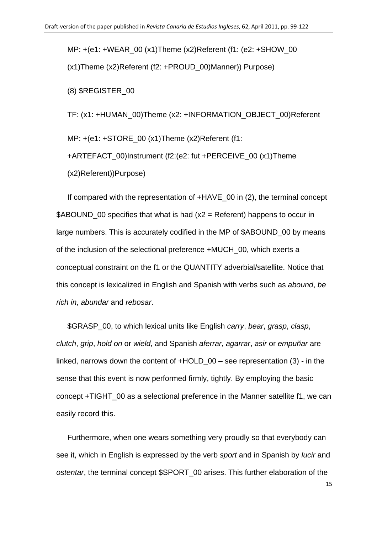MP: +(e1: +WEAR\_00 (x1)Theme (x2)Referent (f1: (e2: +SHOW\_00 (x1)Theme (x2)Referent (f2: +PROUD\_00)Manner)) Purpose)

(8) \$REGISTER\_00

TF: (x1: +HUMAN\_00)Theme (x2: +INFORMATION\_OBJECT\_00)Referent MP: +(e1: +STORE 00 (x1)Theme (x2)Referent (f1: +ARTEFACT\_00)Instrument (f2:(e2: fut +PERCEIVE\_00 (x1)Theme (x2)Referent))Purpose)

If compared with the representation of  $+HAVE$  00 in (2), the terminal concept  $$ABOUND$  00 specifies that what is had (x2 = Referent) happens to occur in large numbers. This is accurately codified in the MP of \$ABOUND\_00 by means of the inclusion of the selectional preference +MUCH\_00, which exerts a conceptual constraint on the f1 or the QUANTITY adverbial/satellite. Notice that this concept is lexicalized in English and Spanish with verbs such as *abound*, *be rich in*, *abundar* and *rebosar*.

\$GRASP\_00, to which lexical units like English *carry*, *bear*, *grasp*, *clasp*, *clutch*, *grip*, *hold on* or *wield*, and Spanish *aferrar*, *agarrar*, *asir* or *empuñar* are linked, narrows down the content of  $+HOLD$  00 – see representation (3) - in the sense that this event is now performed firmly, tightly. By employing the basic concept +TIGHT\_00 as a selectional preference in the Manner satellite f1, we can easily record this.

Furthermore, when one wears something very proudly so that everybody can see it, which in English is expressed by the verb *sport* and in Spanish by *lucir* and *ostentar*, the terminal concept \$SPORT\_00 arises. This further elaboration of the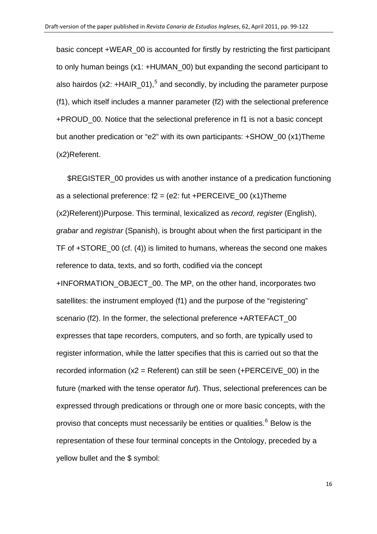basic concept +WEAR\_00 is accounted for firstly by restricting the first participant to only human beings (x1: +HUMAN\_00) but expanding the second participant to also hairdos (x2: +HAIR\_01),<sup>[5](#page-32-1)</sup> and secondly, by including the parameter purpose (f1), which itself includes a manner parameter (f2) with the selectional preference +PROUD\_00. Notice that the selectional preference in f1 is not a basic concept but another predication or "e2" with its own participants: +SHOW\_00 (x1)Theme (x2)Referent.

\$REGISTER 00 provides us with another instance of a predication functioning as a selectional preference:  $f2 = (e2: \text{ fut +PERCEIVE } 00 (x1) \text{ Then}$ (x2)Referent))Purpose. This terminal, lexicalized as *record, register* (English), *grabar* and *registrar* (Spanish), is brought about when the first participant in the TF of +STORE\_00 (cf. (4)) is limited to humans, whereas the second one makes reference to data, texts, and so forth, codified via the concept +INFORMATION\_OBJECT\_00. The MP, on the other hand, incorporates two satellites: the instrument employed (f1) and the purpose of the "registering" scenario (f2). In the former, the selectional preference +ARTEFACT\_00 expresses that tape recorders, computers, and so forth, are typically used to register information, while the latter specifies that this is carried out so that the recorded information  $(x2 = Referent)$  can still be seen  $(+PERCEIVE 00)$  in the future (marked with the tense operator *fut*). Thus, selectional preferences can be expressed through predications or through one or more basic concepts, with the proviso that concepts must necessarily be entities or qualities.<sup>[6](#page-32-1)</sup> Below is the representation of these four terminal concepts in the Ontology, preceded by a yellow bullet and the \$ symbol: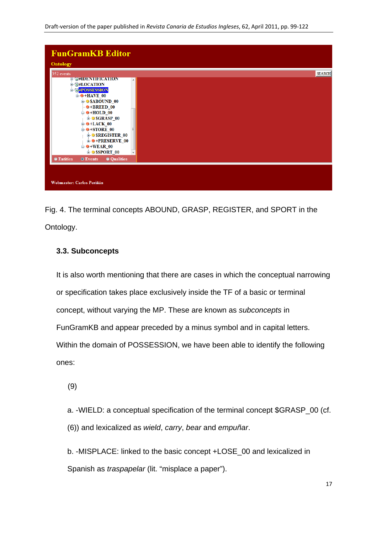

Fig. 4. The terminal concepts ABOUND, GRASP, REGISTER, and SPORT in the Ontology.

# **3.3. Subconcepts**

It is also worth mentioning that there are cases in which the conceptual narrowing or specification takes place exclusively inside the TF of a basic or terminal concept, without varying the MP. These are known as *subconcepts* in FunGramKB and appear preceded by a minus symbol and in capital letters. Within the domain of POSSESSION, we have been able to identify the following ones:

(9)

a. -WIELD: a conceptual specification of the terminal concept \$GRASP\_00 (cf. (6)) and lexicalized as *wield*, *carry*, *bear* and *empuñar*.

b. -MISPLACE: linked to the basic concept +LOSE\_00 and lexicalized in Spanish as *traspapelar* (lit. "misplace a paper").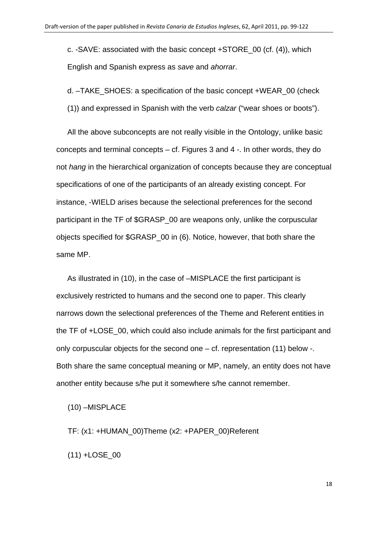c. -SAVE: associated with the basic concept +STORE\_00 (cf. (4)), which English and Spanish express as *save* and *ahorrar*.

d. –TAKE\_SHOES: a specification of the basic concept +WEAR\_00 (check

(1)) and expressed in Spanish with the verb *calzar* ("wear shoes or boots").

All the above subconcepts are not really visible in the Ontology, unlike basic concepts and terminal concepts – cf. Figures 3 and 4 -. In other words, they do not *hang* in the hierarchical organization of concepts because they are conceptual specifications of one of the participants of an already existing concept. For instance, -WIELD arises because the selectional preferences for the second participant in the TF of \$GRASP 00 are weapons only, unlike the corpuscular objects specified for \$GRASP\_00 in (6). Notice, however, that both share the same MP.

As illustrated in (10), in the case of –MISPLACE the first participant is exclusively restricted to humans and the second one to paper. This clearly narrows down the selectional preferences of the Theme and Referent entities in the TF of +LOSE\_00, which could also include animals for the first participant and only corpuscular objects for the second one – cf. representation (11) below -. Both share the same conceptual meaning or MP, namely, an entity does not have another entity because s/he put it somewhere s/he cannot remember.

(10) –MISPLACE

TF: (x1: +HUMAN\_00)Theme (x2: +PAPER\_00)Referent

(11) +LOSE\_00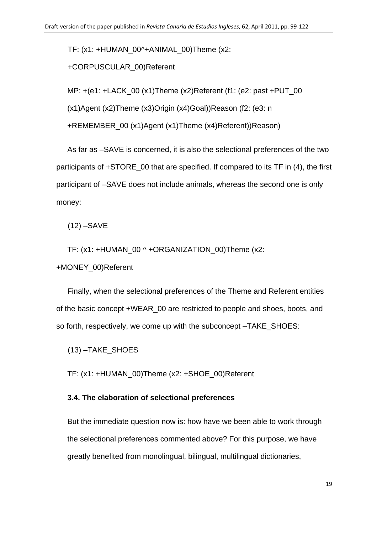TF: (x1: +HUMAN\_00^+ANIMAL\_00)Theme (x2:

# +CORPUSCULAR\_00)Referent

MP: +(e1: +LACK\_00 (x1)Theme (x2)Referent (f1: (e2: past +PUT\_00

(x1)Agent (x2)Theme (x3)Origin (x4)Goal))Reason (f2: (e3: n

+REMEMBER\_00 (x1)Agent (x1)Theme (x4)Referent))Reason)

As far as –SAVE is concerned, it is also the selectional preferences of the two participants of +STORE\_00 that are specified. If compared to its TF in (4), the first participant of –SAVE does not include animals, whereas the second one is only money:

(12) –SAVE

TF: (x1: +HUMAN\_00 ^ +ORGANIZATION\_00)Theme (x2:

+MONEY\_00)Referent

Finally, when the selectional preferences of the Theme and Referent entities of the basic concept +WEAR\_00 are restricted to people and shoes, boots, and so forth, respectively, we come up with the subconcept –TAKE\_SHOES:

(13) –TAKE\_SHOES

TF: (x1: +HUMAN\_00)Theme (x2: +SHOE\_00)Referent

## **3.4. The elaboration of selectional preferences**

But the immediate question now is: how have we been able to work through the selectional preferences commented above? For this purpose, we have greatly benefited from monolingual, bilingual, multilingual dictionaries,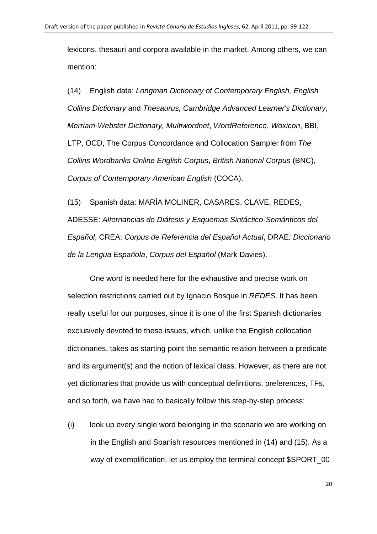lexicons, thesauri and corpora available in the market. Among others, we can mention:

(14) English data: *[Longman Dictionary of Contemporary English,](http://pewebdic2.cw.idm.fr/) [English](http://dictionary.reverso.net/english-cobuild/)  [Collins Dictionary](http://dictionary.reverso.net/english-cobuild/)* and *Thesaurus, [Cambridge Advanced Learner's Dictionary](http://dictionary.cambridge.org/default.asp?dict=CALD), [Merriam-Webster Dictionary,](http://www.merriam-webster.com/) Multiwordnet*, *WordReference*, *Woxicon*, BBI, LTP, OCD, The Corpus Concordance and Collocation Sampler from *The Collins Wordbanks Online English Corpus*, *[British National Corpus](http://corpus.byu.edu/bnc)* (BNC), *[Corpus of Contemporary American English](http://www.americancorpus.org/)* (COCA).

(15) Spanish data: MARÍA MOLINER, CASARES, CLAVE, REDES, ADESSE: *[Alternancias de Diátesis y Esquemas Sintáctico-Semánticos del](http://adesse.uvigo.es/)  [Español](http://adesse.uvigo.es/)*, CREA: *[Corpus de Referencia del Español Actual](http://corpus.rae.es/creanet.html)*, DRAE*[: Diccionario](http://buscon.rae.es/diccionario/drae.htm)  [de la Lengua Española](http://buscon.rae.es/diccionario/drae.htm)*, *[Corpus del Español](http://www.corpusdelespanol.org/)* (Mark Davies).

One word is needed here for the exhaustive and precise work on selection restrictions carried out by Ignacio Bosque in *REDES*. It has been really useful for our purposes, since it is one of the first Spanish dictionaries exclusively devoted to these issues, which, unlike the English collocation dictionaries, takes as starting point the semantic relation between a predicate and its argument(s) and the notion of lexical class. However, as there are not yet dictionaries that provide us with conceptual definitions, preferences, TFs, and so forth, we have had to basically follow this step-by-step process:

(i) look up every single word belonging in the scenario we are working on in the English and Spanish resources mentioned in (14) and (15). As a way of exemplification, let us employ the terminal concept \$SPORT\_00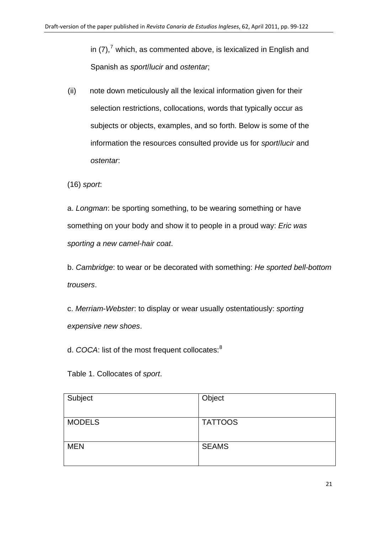in (7),<sup>7</sup> which, as commented above, is lexicalized in English and Spanish as *sport*/*lucir* and *ostentar*;

(ii) note down meticulously all the lexical information given for their selection restrictions, collocations, words that typically occur as subjects or objects, examples, and so forth. Below is some of the information the resources consulted provide us for *sport*/*lucir* and *ostentar*:

(16) *sport*:

a. *Longman*: be sporting something, to be wearing something or have something on your body and show it to people in a proud way: *Eric was sporting a new camel-hair coat*.

b. *Cambridge*: to wear or be decorated with something: *He sported bell-bottom trousers*.

c. *Merriam*-*Webster*: to display or wear usually ostentatiously: *sporting expensive new shoes*.

d. *COCA*: list of the most frequent collocates:<sup>[8](#page-33-0)</sup>

Table 1. Collocates of *sport*.

| Subject       | Object         |
|---------------|----------------|
| <b>MODELS</b> | <b>TATTOOS</b> |
| <b>MEN</b>    | <b>SEAMS</b>   |
|               |                |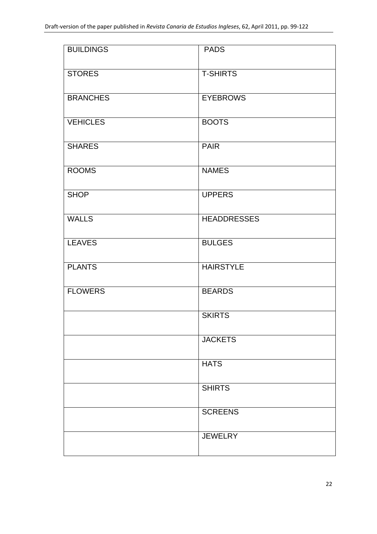| <b>BUILDINGS</b> | <b>PADS</b>        |
|------------------|--------------------|
| <b>STORES</b>    | <b>T-SHIRTS</b>    |
| <b>BRANCHES</b>  | <b>EYEBROWS</b>    |
| <b>VEHICLES</b>  | <b>BOOTS</b>       |
| <b>SHARES</b>    | <b>PAIR</b>        |
| <b>ROOMS</b>     | <b>NAMES</b>       |
| <b>SHOP</b>      | <b>UPPERS</b>      |
| <b>WALLS</b>     | <b>HEADDRESSES</b> |
| <b>LEAVES</b>    | <b>BULGES</b>      |
| <b>PLANTS</b>    | <b>HAIRSTYLE</b>   |
| <b>FLOWERS</b>   | <b>BEARDS</b>      |
|                  | <b>SKIRTS</b>      |
|                  | <b>JACKETS</b>     |
|                  | <b>HATS</b>        |
|                  | <b>SHIRTS</b>      |
|                  | <b>SCREENS</b>     |
|                  | <b>JEWELRY</b>     |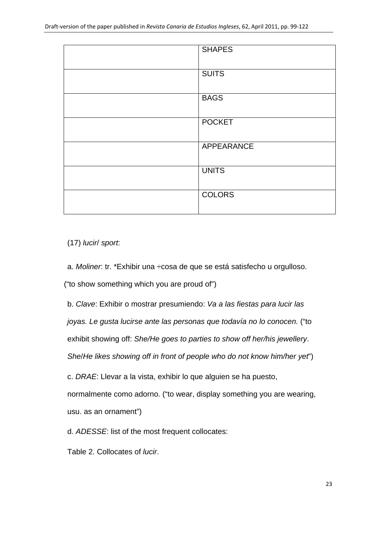| <b>SHAPES</b> |
|---------------|
|               |
|               |
| <b>SUITS</b>  |
|               |
|               |
| <b>BAGS</b>   |
|               |
|               |
| <b>POCKET</b> |
|               |
|               |
| APPEARANCE    |
|               |
|               |
| <b>UNITS</b>  |
|               |
| <b>COLORS</b> |
|               |
|               |
|               |

(17) *lucir*/ *sport*:

a. *Moliner*: tr. \*Exhibir una ÷cosa de que se está satisfecho u orgulloso.

("to show something which you are proud of")

b. *Clave*: Exhibir o mostrar presumiendo: *Va a las fiestas para lucir las* 

*joyas. Le gusta lucirse ante las personas que todavía no lo conocen.* ("to

exhibit showing off: *She/He goes to parties to show off her/his jewellery*.

*She*/*He likes showing off in front of people who do not know him/her yet*")

c. *DRAE*: Llevar a la vista, exhibir lo que alguien se ha puesto,

normalmente como adorno. ("to wear, display something you are wearing, usu. as an ornament")

d. *ADESSE*: list of the most frequent collocates:

Table 2. Collocates of *lucir*.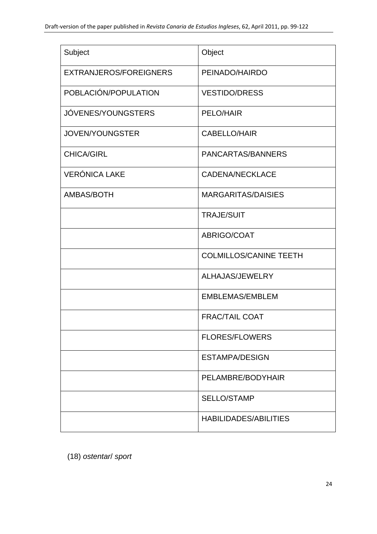| Subject                | Object                        |
|------------------------|-------------------------------|
| EXTRANJEROS/FOREIGNERS | PEINADO/HAIRDO                |
| POBLACIÓN/POPULATION   | <b>VESTIDO/DRESS</b>          |
| JÓVENES/YOUNGSTERS     | PELO/HAIR                     |
| <b>JOVEN/YOUNGSTER</b> | <b>CABELLO/HAIR</b>           |
| <b>CHICA/GIRL</b>      | PANCARTAS/BANNERS             |
| <b>VERÓNICA LAKE</b>   | <b>CADENA/NECKLACE</b>        |
| AMBAS/BOTH             | <b>MARGARITAS/DAISIES</b>     |
|                        | <b>TRAJE/SUIT</b>             |
|                        | ABRIGO/COAT                   |
|                        | <b>COLMILLOS/CANINE TEETH</b> |
|                        | ALHAJAS/JEWELRY               |
|                        | <b>EMBLEMAS/EMBLEM</b>        |
|                        | <b>FRAC/TAIL COAT</b>         |
|                        | <b>FLORES/FLOWERS</b>         |
|                        | <b>ESTAMPA/DESIGN</b>         |
|                        | PELAMBRE/BODYHAIR             |
|                        | <b>SELLO/STAMP</b>            |
|                        | <b>HABILIDADES/ABILITIES</b>  |

(18) *ostentar*/ *sport*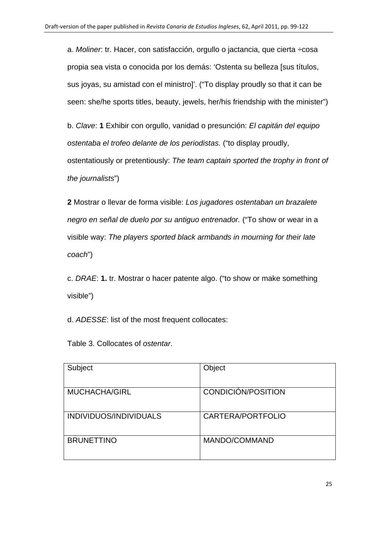a. *Moliner*: tr. Hacer, con satisfacción, orgullo o jactancia, que cierta ÷cosa propia sea vista o conocida por los demás: 'Ostenta su belleza [sus títulos, sus joyas, su amistad con el ministro]'. ("To display proudly so that it can be seen: she/he sports titles, beauty, jewels, her/his friendship with the minister")

b. *Clave*: **1** Exhibir con orgullo, vanidad o presunción: *El capitán del equipo ostentaba el trofeo delante de los periodistas.* ("to display proudly, ostentatiously or pretentiously: *The team captain sported the trophy in front of the journalists*")

**2** Mostrar o llevar de forma visible: *Los jugadores ostentaban un brazalete negro en señal de duelo por su antiguo entrenador.* ("To show or wear in a visible way: *The players sported black armbands in mourning for their late coach*")

c. *DRAE*: **1.** tr. Mostrar o hacer patente algo. ("to show or make something visible")

d. *ADESSE*: list of the most frequent collocates:

Table 3. Collocates of *ostentar*.

| Subject                | Object             |
|------------------------|--------------------|
| <b>MUCHACHA/GIRL</b>   | CONDICIÓN/POSITION |
| INDIVIDUOS/INDIVIDUALS | CARTERA/PORTFOLIO  |
| <b>BRUNETTINO</b>      | MANDO/COMMAND      |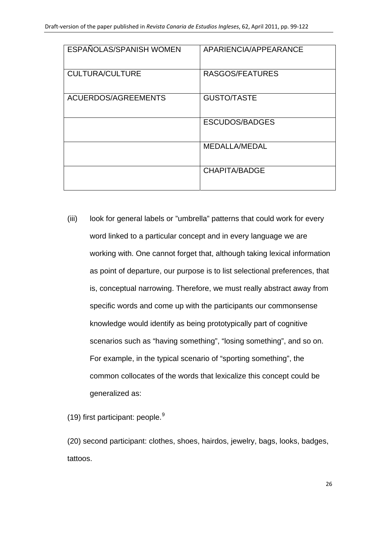| ESPAÑOLAS/SPANISH WOMEN | APARIENCIA/APPEARANCE |
|-------------------------|-----------------------|
| <b>CULTURA/CULTURE</b>  | RASGOS/FEATURES       |
| ACUERDOS/AGREEMENTS     | <b>GUSTO/TASTE</b>    |
|                         | <b>ESCUDOS/BADGES</b> |
|                         | MEDALLA/MEDAL         |
|                         | CHAPITA/BADGE         |

(iii) look for general labels or "umbrella" patterns that could work for every word linked to a particular concept and in every language we are working with. One cannot forget that, although taking lexical information as point of departure, our purpose is to list selectional preferences, that is, conceptual narrowing. Therefore, we must really abstract away from specific words and come up with the participants our commonsense knowledge would identify as being prototypically part of cognitive scenarios such as "having something", "losing something", and so on. For example, in the typical scenario of "sporting something", the common collocates of the words that lexicalize this concept could be generalized as:

(1[9](#page-33-0)) first participant: people. $9$ 

(20) second participant: clothes, shoes, hairdos, jewelry, bags, looks, badges, tattoos.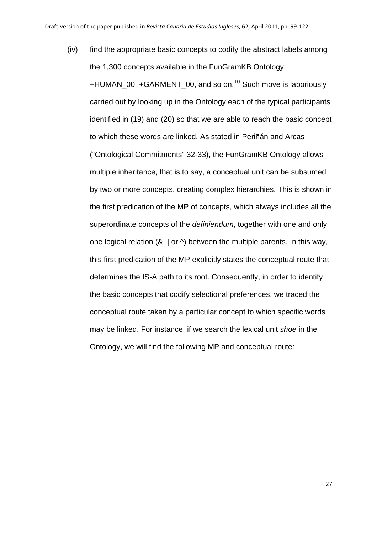(iv) find the appropriate basic concepts to codify the abstract labels among the 1,300 concepts available in the FunGramKB Ontology: +HUMAN 00, +GARMENT 00, and so on.<sup>[10](#page-33-0)</sup> Such move is laboriously carried out by looking up in the Ontology each of the typical participants identified in (19) and (20) so that we are able to reach the basic concept to which these words are linked. As stated in Periñán and Arcas ("Ontological Commitments" 32-33), the FunGramKB Ontology allows multiple inheritance, that is to say, a conceptual unit can be subsumed by two or more concepts, creating complex hierarchies. This is shown in the first predication of the MP of concepts, which always includes all the superordinate concepts of the *definiendum*, together with one and only one logical relation  $(8, |$  or  $\land$ ) between the multiple parents. In this way, this first predication of the MP explicitly states the conceptual route that determines the IS-A path to its root. Consequently, in order to identify the basic concepts that codify selectional preferences, we traced the conceptual route taken by a particular concept to which specific words may be linked. For instance, if we search the lexical unit *shoe* in the Ontology, we will find the following MP and conceptual route: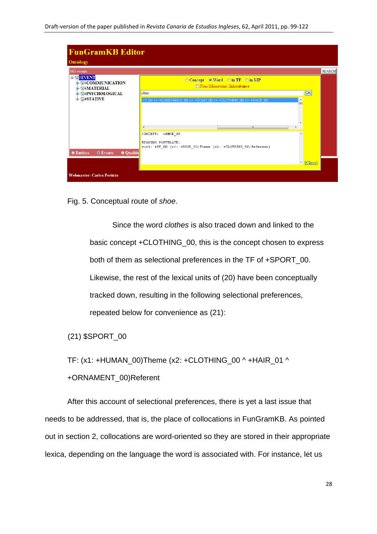| <b>FunGramKB Editor</b>                                              |                                                                                                            |           |               |
|----------------------------------------------------------------------|------------------------------------------------------------------------------------------------------------|-----------|---------------|
| Ontology                                                             |                                                                                                            |           |               |
| 363 events                                                           |                                                                                                            |           | <b>SEARCH</b> |
| $=$ $\sigma$ #EVENT<br><b>B</b> 同#COMMUNICATION<br><b>G#MATERIAL</b> | ◎ Concept © Word © in TF © in MP<br>Non-Monotonic Inheritance                                              |           |               |
| 中 <b>同#PSYCHOLOGICAL</b>                                             | shoe                                                                                                       | <b>OK</b> |               |
| $\blacksquare$ $\blacksquare$ #STATIVE                               | ECT 00 >> +SUBSTANCE 00 >> +SOLID 00 >> +CLOTHING 00 >> +SHOE 00<br>▲<br>Έì                                |           |               |
|                                                                      | m.                                                                                                         |           |               |
| <b>C</b> Entities<br><b>O</b> Qualitie<br><b>O</b> Events            | CONCEPT:<br>+SHOE 00<br>MEANING POSTULATE:<br>+(e1: +BE_00 (x1: +SHOE_00)Theme (x2: +CLOTHING_00)Referent) |           |               |
|                                                                      | $\overline{\phantom{a}}$                                                                                   | [Close]   |               |
| Webmaster: Carlos Periñán                                            |                                                                                                            |           |               |

Fig. 5. Conceptual route of *shoe*.

Since the word *clothes* is also traced down and linked to the basic concept +CLOTHING\_00, this is the concept chosen to express both of them as selectional preferences in the TF of +SPORT\_00. Likewise, the rest of the lexical units of (20) have been conceptually tracked down, resulting in the following selectional preferences, repeated below for convenience as (21):

(21) \$SPORT\_00

TF: (x1: +HUMAN\_00)Theme (x2: +CLOTHING\_00 ^ +HAIR\_01 ^

+ORNAMENT\_00)Referent

After this account of selectional preferences, there is yet a last issue that needs to be addressed, that is, the place of collocations in FunGramKB. As pointed out in section 2, collocations are word-oriented so they are stored in their appropriate lexica, depending on the language the word is associated with. For instance, let us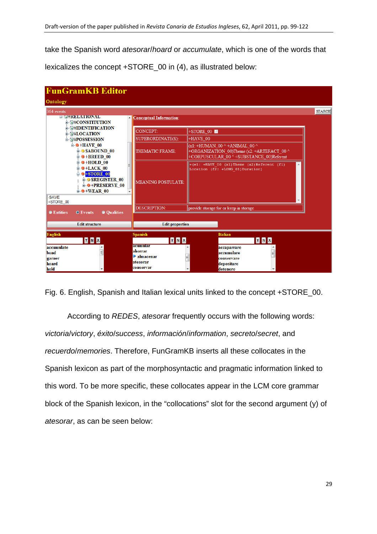take the Spanish word *atesorar*/*hoard* or *accumulate*, which is one of the words that lexicalizes the concept +STORE\_00 in (4), as illustrated below:

| <b>FunGramKB Editor</b>                                                                                                                                                                         |                                 |                                                                                                                            |               |
|-------------------------------------------------------------------------------------------------------------------------------------------------------------------------------------------------|---------------------------------|----------------------------------------------------------------------------------------------------------------------------|---------------|
| Ontology                                                                                                                                                                                        |                                 |                                                                                                                            |               |
| 364 events<br><b>ENG#RELATIONAL</b>                                                                                                                                                             |                                 |                                                                                                                            | <b>SEARCH</b> |
| A.<br><b>自 同#CONSTITUTION</b>                                                                                                                                                                   | <b>Conceptual Information:</b>  |                                                                                                                            |               |
| <b>E- WHIDENTIFICATION</b><br><b>国用LOCATION</b>                                                                                                                                                 | <b>CONCEPT:</b>                 | +STORE 00                                                                                                                  |               |
| <b>自 同#POSSESSION</b>                                                                                                                                                                           | SUPERORDINATE(S):               | $HAVE$ 00                                                                                                                  |               |
| $\triangle$ +HAVE 00<br><b>E-OSABOUND 00</b><br>$\oplus$ +BREED 00                                                                                                                              | THEMATIC FRAME:                 | $(x1: +HUMAN 00^+ + ANIMAL 00^+$<br>+ORGANIZATION 00)Theme (x2: +ARTEFACT 00 ^<br>+CORPUSCULAR 00 ^ +SUBSTANCE 00)Referent |               |
| $\mathbf{H}$ + HOLD 00<br>$\mathbf{u}$ $\Theta$ +LACK 00<br>$\div$ $\bullet$ +STORE_00<br><b>B-O SREGISTER 00</b><br>$\bullet$ +PRESERVE 00<br>$\mathbf{\Theta}$ +WEAR 00<br>-SAVE<br>+STORE 00 | MEANING POSTULATE:              | $\Vert +$ (e1: +HAVE 00 (x1) Theme (x2) Referent (f1)<br>Location (f2: +LONG 01)Duration)                                  |               |
|                                                                                                                                                                                                 | <b>DESCRIPTION:</b>             | provide storage for or keep in storage                                                                                     |               |
| <b>C</b> Entities<br><b>Oualities</b><br><b>O</b> Events                                                                                                                                        |                                 |                                                                                                                            |               |
| <b>Edit structure</b>                                                                                                                                                                           | <b>Edit properties</b>          |                                                                                                                            |               |
| <b>English</b><br>YNX                                                                                                                                                                           | <b>Spanish</b><br>YNX           | <b>Italian</b><br>YNX                                                                                                      |               |
| accumulate                                                                                                                                                                                      | acumular<br>ahorrar             | accaparrare                                                                                                                |               |
| $\equiv$<br>bond<br>garner                                                                                                                                                                      | $\blacktriangleright$ almacenar | E<br>accumulare<br>E<br>conservare                                                                                         |               |
| hoard                                                                                                                                                                                           | atesorar                        | depositare                                                                                                                 |               |
| hold                                                                                                                                                                                            | conservar                       | detenere                                                                                                                   |               |

Fig. 6. English, Spanish and Italian lexical units linked to the concept +STORE\_00.

According to *REDES*, *atesorar* frequently occurs with the following words: *victoria*/*victory*, *éxito*/*success*, *información*/*information*, *secreto*/*secret*, and *recuerdo*/*memories*. Therefore, FunGramKB inserts all these collocates in the Spanish lexicon as part of the morphosyntactic and pragmatic information linked to this word. To be more specific, these collocates appear in the LCM core grammar block of the Spanish lexicon, in the "collocations" slot for the second argument (y) of *atesorar*, as can be seen below: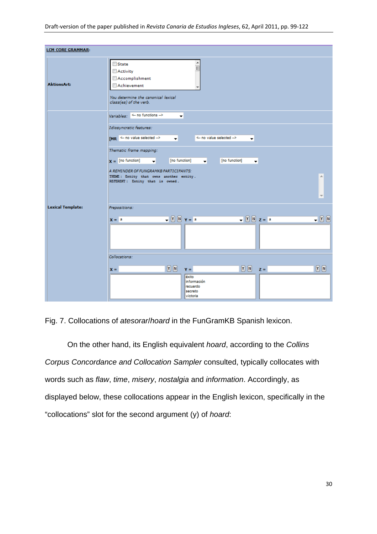| <b>LCM CORE GRAMMAR:</b> |                                                                                                                                        |
|--------------------------|----------------------------------------------------------------------------------------------------------------------------------------|
| <b>AktionsArt:</b>       | im <sub>1</sub><br>State<br>Activity<br>Accomplishment<br>Achievement<br>You determine the canonical lexical<br>class(es) of the verb. |
|                          | Variables: $\leftarrow$ no functions $\rightarrow$<br>$\overline{\mathbf{v}}$                                                          |
|                          | Idiosyncratic features:                                                                                                                |
|                          | [MR $\leq$ no value selected $\Rightarrow$<br><- no value selected --><br>$\overline{\phantom{a}}$<br>$\overline{\phantom{a}}$         |
|                          | Thematic frame mapping:                                                                                                                |
|                          | $x =$ [no function]<br>[no function]<br>[no function]<br>$\mathbf{r}$<br>۰l<br>$\overline{\phantom{a}}$                                |
|                          | A REMINDER OF FUNGRAMKB PARTICIPANTS:<br>THEME: Entity that owns another entity.<br>A.                                                 |
|                          | REFERENT: Entity that is owned.<br>$\overline{\nabla}$                                                                                 |
| <b>Lexical Template:</b> | Prepositions:                                                                                                                          |
|                          | $\sqrt{Y} \sqrt{N} \sqrt{Y} = \sqrt{a}$<br>$\sqrt{Y}$ N $Z = \frac{1}{2}$<br>$-20$<br>$x = a$                                          |
|                          | Collocations:                                                                                                                          |
|                          | $Y$ $N$<br>$\boxed{Y}$ $\boxed{N}$<br>$\boxed{Y}$ $\boxed{N}$<br>$Z =$<br>$x =$<br>$Y =$                                               |
|                          | éxito<br>información<br>Irecuerdo<br>secreto                                                                                           |

Fig. 7. Collocations of *atesorar*/*hoard* in the FunGramKB Spanish lexicon.

On the other hand, its English equivalent *hoard*, according to the *Collins Corpus Concordance and Collocation Sampler* consulted, typically collocates with words such as *flaw*, *time*, *misery*, *nostalgia* and *information*. Accordingly, as displayed below, these collocations appear in the English lexicon, specifically in the "collocations" slot for the second argument (y) of *hoard*: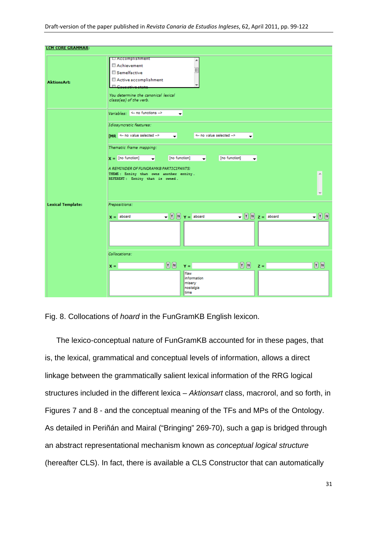| <b>LCM CORE GRAMMAR:</b> |                                                                                                                                                                                                      |
|--------------------------|------------------------------------------------------------------------------------------------------------------------------------------------------------------------------------------------------|
| <b>AktionsArt:</b>       | LI Accomplishment<br>▲<br>Achievement<br>Ξ<br>Semelfactive<br>Active accomplishment<br>$\overline{\phantom{a}}$<br>Councilive ctate<br>You determine the canonical lexical<br>class(es) of the verb. |
|                          | Variables: $\leftarrow$ no functions $\rightarrow$<br>▾                                                                                                                                              |
|                          | Idiosyncratic features:<br>$M_R \leftarrow$ no value selected $\rightarrow$<br><- no value selected --><br>۰<br>$\overline{\phantom{a}}$                                                             |
|                          | Thematic frame mapping:<br>$X =$ [no function]<br>[no function]<br>[no function]<br>$\overline{\phantom{a}}$<br>٠<br>۰                                                                               |
|                          | A REMINDER OF FUNGRAMKB PARTICIPANTS:<br>A.                                                                                                                                                          |
|                          | THEME: Entity that owns another entity.<br>REFERENT: Entity that is owned.<br>$\overline{\phantom{a}}$                                                                                               |
| <b>Lexical Template:</b> | Prepositions:                                                                                                                                                                                        |
|                          | $\blacktriangledown$ $\boxed{Y}$ $\boxed{N}$ $\blacktriangledown$ = aboard<br>$\blacktriangledown$ $\boxed{Y}$ $\boxed{N}$ $\bm{z} =$ aboard<br>$ \boxed{Y}$ $\boxed{N}$<br>$x =$ aboard             |
|                          | Collocations:                                                                                                                                                                                        |
|                          | $\boxed{N}$<br>$\boxed{Y}$ $\boxed{N}$ z =<br>$\boxed{Y}$ $\boxed{N}$<br>$Y =$<br>$X =$                                                                                                              |
|                          | flaw<br>information<br>misery<br>nostalgia<br>time                                                                                                                                                   |

Fig. 8. Collocations of *hoard* in the FunGramKB English lexicon.

The lexico-conceptual nature of FunGramKB accounted for in these pages, that is, the lexical, grammatical and conceptual levels of information, allows a direct linkage between the grammatically salient lexical information of the RRG logical structures included in the different lexica – *Aktionsart* class, macrorol, and so forth, in Figures 7 and 8 - and the conceptual meaning of the TFs and MPs of the Ontology. As detailed in Periñán and Mairal ("Bringing" 269-70), such a gap is bridged through an abstract representational mechanism known as *conceptual logical structure* (hereafter CLS). In fact, there is available a CLS Constructor that can automatically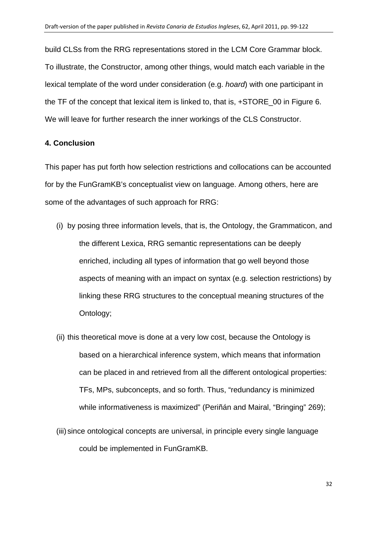build CLSs from the RRG representations stored in the LCM Core Grammar block. To illustrate, the Constructor, among other things, would match each variable in the lexical template of the word under consideration (e.g. *hoard*) with one participant in the TF of the concept that lexical item is linked to, that is, +STORE\_00 in Figure 6. We will leave for further research the inner workings of the CLS Constructor.

### **4. Conclusion**

This paper has put forth how selection restrictions and collocations can be accounted for by the FunGramKB's conceptualist view on language. Among others, here are some of the advantages of such approach for RRG:

- (i) by posing three information levels, that is, the Ontology, the Grammaticon, and the different Lexica, RRG semantic representations can be deeply enriched, including all types of information that go well beyond those aspects of meaning with an impact on syntax (e.g. selection restrictions) by linking these RRG structures to the conceptual meaning structures of the Ontology;
- (ii) this theoretical move is done at a very low cost, because the Ontology is based on a hierarchical inference system, which means that information can be placed in and retrieved from all the different ontological properties: TFs, MPs, subconcepts, and so forth. Thus, "redundancy is minimized while informativeness is maximized" (Periñán and Mairal, "Bringing" 269);
- (iii) since ontological concepts are universal, in principle every single language could be implemented in FunGramKB.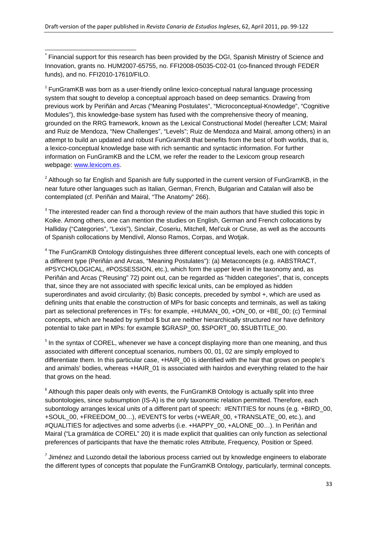<span id="page-32-1"></span><span id="page-32-0"></span> Financial support for this research has been provided by the DGI, Spanish Ministry of Science and Innovation, grants no. HUM2007-65755, no. FFI2008-05035-C02-01 (co-financed through FEDER funds), and no. FFI2010-17610/FILO.

<sup>1</sup> FunGramKB was born as a user-friendly online lexico-conceptual natural language processing system that sought to develop a conceptual approach based on deep semantics. Drawing from previous work by Periñán and Arcas ("Meaning Postulates", "Microconceptual-Knowledge", "Cognitive Modules"), this knowledge-base system has fused with the comprehensive theory of meaning, grounded on the RRG framework, known as the Lexical Constructional Model (hereafter LCM; Mairal and Ruiz de Mendoza, "New Challenges", "Levels"; Ruiz de Mendoza and Mairal, among others) in an attempt to build an updated and robust FunGramKB that benefits from the best of both worlds, that is, a lexico-conceptual knowledge base with rich semantic and syntactic information. For further information on FunGramKB and the LCM, we refer the reader to the Lexicom group research webpage: [www.lexicom.es.](http://www.lexicom.es/)

<sup>2</sup> Although so far English and Spanish are fully supported in the current version of FunGramKB, in the near future other languages such as Italian, German, French, Bulgarian and Catalan will also be contemplated (cf. Periñán and Mairal, "The Anatomy" 266).

<sup>3</sup> The interested reader can find a thorough review of the main authors that have studied this topic in Koike. Among others, one can mention the studies on English, German and French collocations by Halliday ("Categories", "Lexis"), Sinclair, Coseriu, Mitchell, Mel'cuk or Cruse, as well as the accounts of Spanish collocations by Mendívil, Alonso Ramos, Corpas, and Wotjak.

<sup>4</sup> The FunGramKB Ontology distinguishes three different conceptual levels, each one with concepts of a different type (Periñán and Arcas, "Meaning Postulates"): (a) Metaconcepts (e.g. #ABSTRACT, #PSYCHOLOGICAL, #POSSESSION, etc.), which form the upper level in the taxonomy and, as Periñán and Arcas ("Reusing" 72) point out, can be regarded as "hidden categories", that is, concepts that, since they are not associated with specific lexical units, can be employed as hidden superordinates and avoid circularity; (b) Basic concepts, preceded by symbol +, which are used as defining units that enable the construction of MPs for basic concepts and terminals, as well as taking part as selectional preferences in TFs: for example, +HUMAN\_00, +ON\_00, or +BE\_00; (c) Terminal concepts, which are headed by symbol \$ but are neither hierarchically structured nor have definitory potential to take part in MPs: for example \$GRASP\_00, \$SPORT\_00, \$SUBTITLE\_00.

<sup>5</sup> In the syntax of COREL, whenever we have a concept displaying more than one meaning, and thus associated with different conceptual scenarios, numbers 00, 01, 02 are simply employed to differentiate them. In this particular case, +HAIR\_00 is identified with the hair that grows on people's and animals' bodies, whereas +HAIR 01 is associated with hairdos and everything related to the hair that grows on the head.

 $6$  Although this paper deals only with events, the FunGramKB Ontology is actually split into three subontologies, since subsumption (IS-A) is the only taxonomic relation permitted. Therefore, each subontology arranges lexical units of a different part of speech: #ENTITIES for nouns (e.g. +BIRD 00, +SOUL\_00, +FREEDOM\_00…), #EVENTS for verbs (+WEAR\_00, +TRANSLATE\_00, etc.), and #QUALITIES for adjectives and some adverbs (i.e. +HAPPY\_00, +ALONE\_00…). In Periñán and Mairal ("La gramática de COREL" 20) it is made explicit that qualities can only function as selectional preferences of participants that have the thematic roles Attribute*,* Frequency*,* Position or Speed.

 $7$  Jiménez and Luzondo detail the laborious process carried out by knowledge engineers to elaborate the different types of concepts that populate the FunGramKB Ontology, particularly, terminal concepts.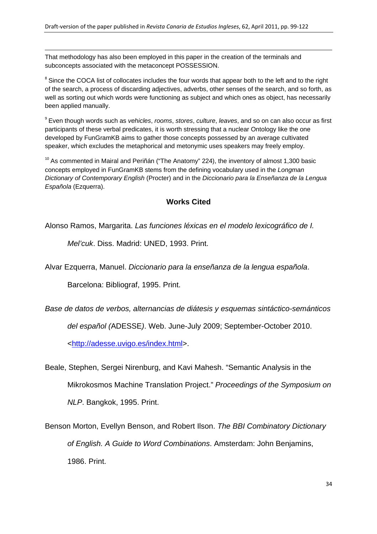<span id="page-33-0"></span>That methodology has also been employed in this paper in the creation of the terminals and subconcepts associated with the metaconcept POSSESSION.

<sup>8</sup> Since the COCA list of collocates includes the four words that appear both to the left and to the right of the search, a process of discarding adjectives, adverbs, other senses of the search, and so forth, as well as sorting out which words were functioning as subject and which ones as object, has necessarily been applied manually.

<u> 1989 - Andrea Santa Andrea Andrea Andrea Andrea Andrea Andrea Andrea Andrea Andrea Andrea Andrea Andrea Andr</u>

<sup>9</sup> Even though words such as *vehicles*, *rooms*, *stores*, *culture*, *leaves*, and so on can also occur as first participants of these verbal predicates, it is worth stressing that a nuclear Ontology like the one developed by FunGramKB aims to gather those concepts possessed by an average cultivated speaker, which excludes the metaphorical and metonymic uses speakers may freely employ.

 $10$  As commented in Mairal and Periñán ("The Anatomy" 224), the inventory of almost 1,300 basic concepts employed in FunGramKB stems from the defining vocabulary used in the *Longman Dictionary of Contemporary English* (Procter) and in the *Diccionario para la Enseñanza de la Lengua Española* (Ezquerra).

## **Works Cited**

Alonso Ramos, Margarita. *Las funciones léxicas en el modelo lexicográfico de I.* 

*Mel'cuk*. Diss. Madrid: UNED, 1993. Print.

Alvar Ezquerra, Manuel. *Diccionario para la enseñanza de la lengua española*.

Barcelona: Bibliograf, 1995. Print.

*Base de datos de verbos, alternancias de diátesis y esquemas sintáctico-semánticos* 

*del español (*ADESSE*)*. Web. June-July 2009; September-October 2010.

[<http://adesse.uvigo.es/index.html](http://adesse.uvigo.es/index.html)>.

Beale, Stephen, Sergei Nirenburg, and Kavi Mahesh. "Semantic Analysis in the Mikrokosmos Machine Translation Project." *Proceedings of the Symposium on NLP*. Bangkok, 1995. Print.

Benson Morton, Evellyn Benson, and Robert Ilson. *The BBI Combinatory Dictionary of English. A Guide to Word Combinations*. Amsterdam: John Benjamins, 1986. Print.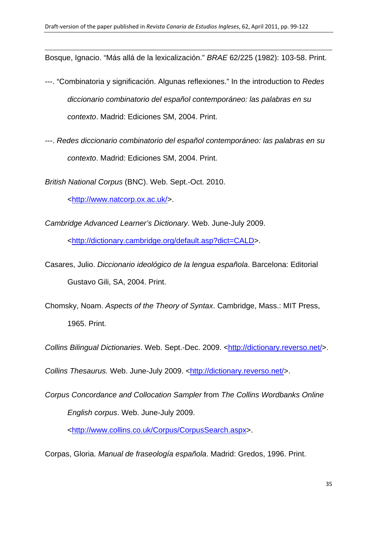<u> 1989 - Andrea Santa Andrea Andrea Andrea Andrea Andrea Andrea Andrea Andrea Andrea Andrea Andrea Andrea Andr</u> Bosque, Ignacio. "Más allá de la lexicalización." *BRAE* 62/225 (1982): 103-58. Print.

- ---. "Combinatoria y significación. Algunas reflexiones." In the introduction to *Redes diccionario combinatorio del español contemporáneo: las palabras en su contexto*. Madrid: Ediciones SM, 2004. Print.
- ---. *Redes diccionario combinatorio del español contemporáneo: las palabras en su contexto*. Madrid: Ediciones SM, 2004. Print.

*British National Corpus* (BNC). Web. Sept.-Oct. 2010.

[<http://www.natcorp.ox.ac.uk/](http://www.natcorp.ox.ac.uk/)>.

*Cambridge Advanced Learner's Dictionary*. Web. June-July 2009.

[<http://dictionary.cambridge.org/default.asp?dict=CALD](http://dictionary.cambridge.org/default.asp?dict=CALD)>.

Casares, Julio. *Diccionario ideológico de la lengua española*. Barcelona: Editorial Gustavo Gili, SA, 2004. Print.

Chomsky, Noam. *Aspects of the Theory of Syntax*. Cambridge, Mass.: MIT Press, 1965. Print.

*Collins Bilingual Dictionaries.* Web. Sept.-Dec. 2009. [<http://dictionary.reverso.net/](http://dictionary.reverso.net/)>.

*Collins Thesaurus.* Web. June-July 2009. [<http://dictionary.reverso.net/](http://dictionary.reverso.net/)>.

*Corpus Concordance and Collocation Sampler* from *The Collins Wordbanks Online English corpus*. Web. June-July 2009.

[<http://www.collins.co.uk/Corpus/CorpusSearch.aspx>](http://www.collins.co.uk/Corpus/CorpusSearch.aspx).

Corpas, Gloria. *Manual de fraseología española*. Madrid: Gredos, 1996. Print.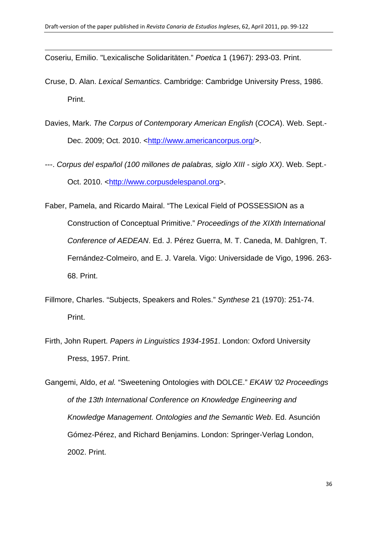Coseriu, Emilio. "Lexicalische Solidaritäten." *Poetica* 1 (1967): 293-03. Print.

Cruse, D. Alan. *Lexical Semantics*. Cambridge: Cambridge University Press, 1986. Print.

<u> 1989 - Andrea Santa Andrea Andrea Andrea Andrea Andrea Andrea Andrea Andrea Andrea Andrea Andrea Andrea Andr</u>

- Davies, Mark. *The [Corpus of Contemporary American English](http://www.americancorpus.org/)* (*COCA*). Web. Sept.- Dec. 2009; Oct. 2010. [<http://www.americancorpus.org/](http://www.americancorpus.org/)>.
- ---. *Corpus del español (100 millones de palabras, siglo XIII siglo XX)*. Web. Sept.- Oct. 2010. [<http://www.corpusdelespanol.org](http://corpus.byu.edu/time)>.
- Faber, Pamela, and Ricardo Mairal. "The Lexical Field of POSSESSION as a Construction of Conceptual Primitive." *Proceedings of the XIXth International Conference of AEDEAN*. Ed. J. Pérez Guerra, M. T. Caneda, M. Dahlgren, T. Fernández-Colmeiro, and E. J. Varela. Vigo: Universidade de Vigo, 1996. 263- 68. Print.
- Fillmore, Charles. "Subjects, Speakers and Roles." *Synthese* 21 (1970): 251-74. Print.
- Firth, John Rupert. *Papers in Linguistics 1934-1951*. London: Oxford University Press, 1957. Print.

Gangemi, Aldo, *et al.* "Sweetening Ontologies with DOLCE." *EKAW '02 Proceedings of the 13th International Conference on Knowledge Engineering and Knowledge Management. Ontologies and the Semantic Web*. Ed. Asunción Gómez-Pérez, and Richard Benjamins. London: Springer-Verlag London, 2002. Print.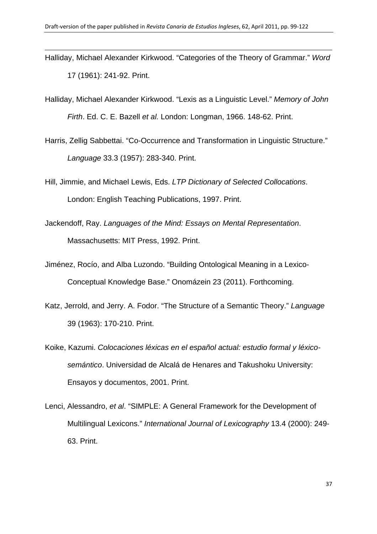Halliday, Michael Alexander Kirkwood. "Categories of the Theory of Grammar." *Word* 17 (1961): 241-92. Print.

<u> 1989 - Andrea Santa Andrea Andrea Andrea Andrea Andrea Andrea Andrea Andrea Andrea Andrea Andrea Andrea Andr</u>

- Halliday, Michael Alexander Kirkwood. "Lexis as a Linguistic Level." *Memory of John Firth*. Ed. C. E. Bazell *et al.* London: Longman, 1966. 148-62. Print.
- Harris, Zellig Sabbettai. "Co-Occurrence and Transformation in Linguistic Structure." *Language* 33.3 (1957): 283-340. Print.
- Hill, Jimmie, and Michael Lewis, Eds. *LTP Dictionary of Selected Collocations*. London: English Teaching Publications, 1997. Print.
- Jackendoff, Ray. *Languages of the Mind: Essays on Mental Representation*. Massachusetts: MIT Press, 1992. Print.
- Jiménez, Rocío, and Alba Luzondo. "Building Ontological Meaning in a Lexico-Conceptual Knowledge Base." Onomázein 23 (2011). Forthcoming.
- Katz, Jerrold, and Jerry. A. Fodor. "The Structure of a Semantic Theory." *Language* 39 (1963): 170-210. Print.
- Koike, Kazumi. *Colocaciones léxicas en el español actual: estudio formal y léxicosemántico*. Universidad de Alcalá de Henares and Takushoku University: Ensayos y documentos, 2001. Print.
- Lenci, Alessandro, *et al*. "SIMPLE: A General Framework for the Development of Multilingual Lexicons." *International Journal of Lexicography* 13.4 (2000): 249- 63. Print.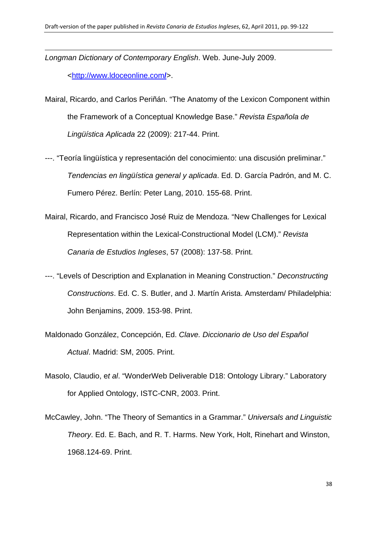*Longman Dictionary of Contemporary English*. Web. June-July 2009. [<http://www.ldoceonline.com](http://www.ldoceonline.com/)**/**>.

Mairal, Ricardo, and Carlos Periñán. "The Anatomy of the Lexicon Component within the Framework of a Conceptual Knowledge Base." *Revista Española de Lingüística Aplicada* 22 (2009): 217-44. Print.

<u> 1989 - Andrea Santa Andrea Andrea Andrea Andrea Andrea Andrea Andrea Andrea Andrea Andrea Andrea Andrea Andr</u>

- ---. "Teoría lingüística y representación del conocimiento: una discusión preliminar." *Tendencias en lingüística general y aplicada*. Ed. D. García Padrón, and M. C. Fumero Pérez. Berlín: Peter Lang, 2010. 155-68. Print.
- Mairal, Ricardo, and Francisco José Ruiz de Mendoza. "New Challenges for Lexical Representation within the Lexical-Constructional Model (LCM)." *Revista Canaria de Estudios Ingleses*, 57 (2008): 137-58. Print.
- ---. "Levels of Description and Explanation in Meaning Construction." *Deconstructing Constructions*. Ed. C. S. Butler, and J. Martín Arista. Amsterdam/ Philadelphia: John Benjamins, 2009. 153-98. Print.
- Maldonado González, Concepción, Ed. *Clave. Diccionario de Uso del Español Actual*. Madrid: SM, 2005. Print.
- Masolo, Claudio, e*t al*. "WonderWeb Deliverable D18: Ontology Library." Laboratory for Applied Ontology, ISTC-CNR, 2003. Print.
- McCawley, John. "The Theory of Semantics in a Grammar." *Universals and Linguistic Theory*. Ed. E. Bach, and R. T. Harms. New York, Holt, Rinehart and Winston, 1968.124-69. Print.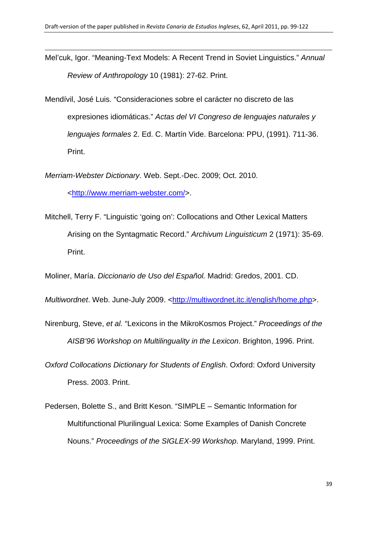Mel'cuk, Igor. "Meaning-Text Models: A Recent Trend in Soviet Linguistics." *Annual Review of Anthropology* 10 (1981): 27-62. Print.

<u> 1989 - Andrea Santa Andrea Andrea Andrea Andrea Andrea Andrea Andrea Andrea Andrea Andrea Andrea Andrea Andr</u>

Mendívil, José Luis. "Consideraciones sobre el carácter no discreto de las expresiones idiomáticas." *Actas del VI Congreso de lenguajes naturales y lenguajes formales* 2. Ed. C. Martín Vide. Barcelona: PPU, (1991). 711-36. Print.

*Merriam-Webster Dictionary*. Web. Sept.-Dec. 2009; Oct. 2010.

[<http://www.merriam-webster.com/](http://www.merriam-webster.com/)>.

Mitchell, Terry F. "Linguistic 'going on': Collocations and Other Lexical Matters Arising on the Syntagmatic Record." *Archivum Linguisticum* 2 (1971): 35-69. Print.

Moliner, María. *Diccionario de Uso del Español.* Madrid: Gredos, 2001. CD.

*Multiwordnet*. Web. June-July 2009. [<http://multiwordnet.itc.it/english/home.php>](http://multiwordnet.itc.it/english/home.php).

- Nirenburg, Steve, *et al.* "Lexicons in the MikroKosmos Project." *Proceedings of the AISB'96 Workshop on Multilinguality in the Lexicon*. Brighton, 1996. Print.
- *Oxford Collocations Dictionary for Students of English*. Oxford: Oxford University Press. 2003. Print.
- Pedersen, Bolette S., and Britt Keson. "SIMPLE Semantic Information for Multifunctional Plurilingual Lexica: Some Examples of Danish Concrete Nouns." *Proceedings of the SIGLEX-99 Workshop*. Maryland, 1999. Print.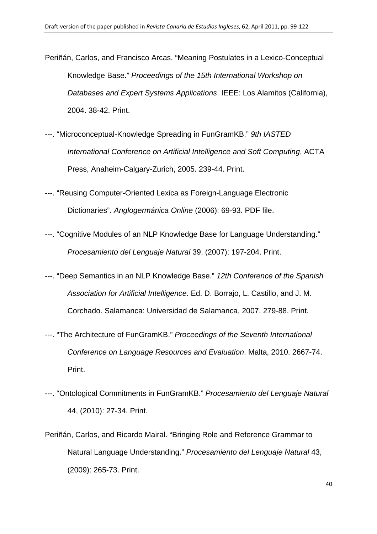Periñán, Carlos, and Francisco Arcas. "Meaning Postulates in a Lexico-Conceptual Knowledge Base." *Proceedings of the 15th International Workshop on Databases and Expert Systems Applications*. IEEE: Los Alamitos (California), 2004. 38-42. Print.

<u> 1989 - Andrea Santa Andrea Andrea Andrea Andrea Andrea Andrea Andrea Andrea Andrea Andrea Andrea Andrea Andr</u>

- ---. "Microconceptual-Knowledge Spreading in FunGramKB." *9th IASTED International Conference on Artificial Intelligence and Soft Computing*, ACTA Press, Anaheim-Calgary-Zurich, 2005. 239-44. Print.
- ---. "Reusing Computer-Oriented Lexica as Foreign-Language Electronic Dictionaries". *Anglogermánica Online* (2006): 69-93. PDF file.
- ---. "Cognitive Modules of an NLP Knowledge Base for Language Understanding." *Procesamiento del Lenguaje Natural* 39, (2007): 197-204. Print.
- ---. "Deep Semantics in an NLP Knowledge Base." *12th Conference of the Spanish Association for Artificial Intelligence*. Ed. D. Borrajo, L. Castillo, and J. M. Corchado. Salamanca: Universidad de Salamanca, 2007. 279-88. Print.
- ---. "The Architecture of FunGramKB." *Proceedings of the Seventh International Conference on Language Resources and Evaluation*. Malta, 2010. 2667-74. Print.
- ---. "Ontological Commitments in FunGramKB." *Procesamiento del Lenguaje Natural*  44, (2010): 27-34. Print.
- Periñán, Carlos, and Ricardo Mairal. "Bringing Role and Reference Grammar to Natural Language Understanding." *Procesamiento del Lenguaje Natural* 43, (2009): 265-73. Print.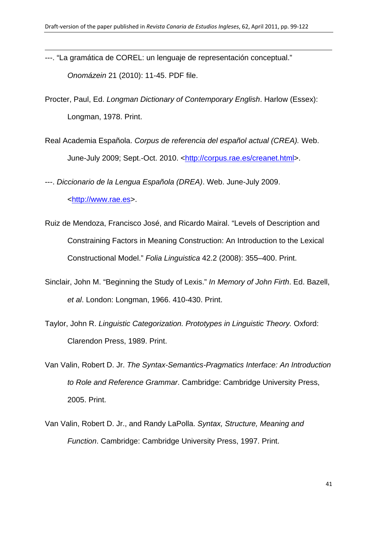<u> 1989 - Andrea Santa Andrea Andrea Andrea Andrea Andrea Andrea Andrea Andrea Andrea Andrea Andrea Andrea Andr</u>

---. "La gramática de COREL: un lenguaje de representación conceptual." *Onomázein* 21 (2010): 11-45. PDF file.

Procter, Paul, Ed. *Longman Dictionary of Contemporary English*. Harlow (Essex): Longman, 1978. Print.

Real Academia Española. *Corpus de referencia del español actual (CREA).* Web. June-July 2009; Sept.-Oct. 2010. [<http://corpus.rae.es/creanet.html](http://corpus.rae.es/creanet.html)>.

---. *Diccionario de la Lengua Española (DREA)*. Web. June-July 2009.

[<http://www.rae.es](http://www.rae.es/)>.

- Ruiz de Mendoza, Francisco José, and Ricardo Mairal. "Levels of Description and Constraining Factors in Meaning Construction: An Introduction to the Lexical Constructional Model." *Folia Linguistica* 42.2 (2008): 355–400. Print.
- Sinclair, John M. "Beginning the Study of Lexis." *In Memory of John Firth*. Ed. Bazell, *et al*. London: Longman, 1966. 410-430. Print.
- Taylor, John R. *Linguistic Categorization. Prototypes in Linguistic Theory.* Oxford: Clarendon Press, 1989. Print.
- Van Valin, Robert D. Jr. *The Syntax-Semantics-Pragmatics Interface: An Introduction to Role and Reference Grammar*. Cambridge: Cambridge University Press, 2005. Print.
- Van Valin, Robert D. Jr., and Randy LaPolla. *Syntax, Structure, Meaning and Function*. Cambridge: Cambridge University Press, 1997. Print.